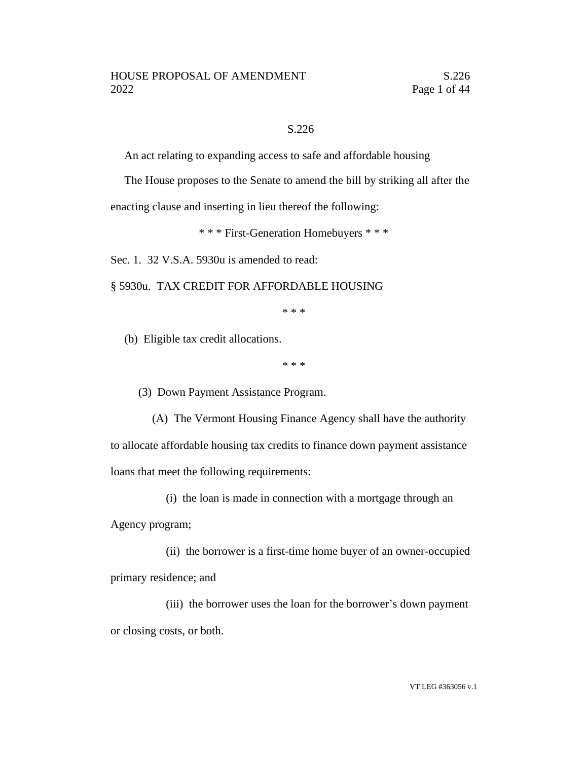### S.226

An act relating to expanding access to safe and affordable housing

The House proposes to the Senate to amend the bill by striking all after the

enacting clause and inserting in lieu thereof the following:

\* \* \* First-Generation Homebuyers \* \* \*

Sec. 1. 32 V.S.A. 5930u is amended to read:

§ 5930u. TAX CREDIT FOR AFFORDABLE HOUSING

\* \* \*

(b) Eligible tax credit allocations.

\* \* \*

(3) Down Payment Assistance Program.

(A) The Vermont Housing Finance Agency shall have the authority to allocate affordable housing tax credits to finance down payment assistance loans that meet the following requirements:

(i) the loan is made in connection with a mortgage through an

Agency program;

(ii) the borrower is a first-time home buyer of an owner-occupied primary residence; and

(iii) the borrower uses the loan for the borrower's down payment or closing costs, or both.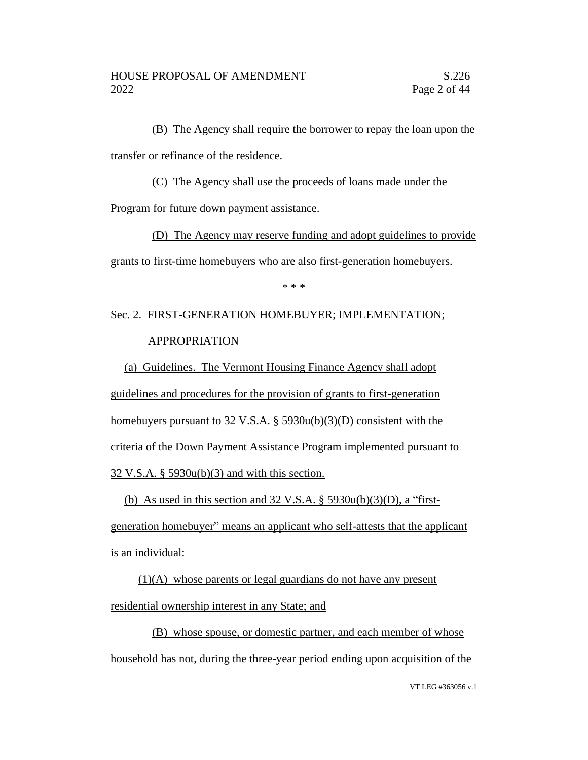(B) The Agency shall require the borrower to repay the loan upon the transfer or refinance of the residence.

(C) The Agency shall use the proceeds of loans made under the

Program for future down payment assistance.

(D) The Agency may reserve funding and adopt guidelines to provide grants to first-time homebuyers who are also first-generation homebuyers.

\* \* \*

# Sec. 2. FIRST-GENERATION HOMEBUYER; IMPLEMENTATION; APPROPRIATION

(a) Guidelines. The Vermont Housing Finance Agency shall adopt guidelines and procedures for the provision of grants to first-generation homebuyers pursuant to 32 V.S.A. § 5930u(b)(3)(D) consistent with the criteria of the Down Payment Assistance Program implemented pursuant to 32 V.S.A. § 5930u(b)(3) and with this section.

(b) As used in this section and  $32 \text{ V.S.A.}$  §  $5930u(b)(3)(D)$ , a "first-

generation homebuyer" means an applicant who self-attests that the applicant is an individual:

(1)(A) whose parents or legal guardians do not have any present residential ownership interest in any State; and

(B) whose spouse, or domestic partner, and each member of whose household has not, during the three-year period ending upon acquisition of the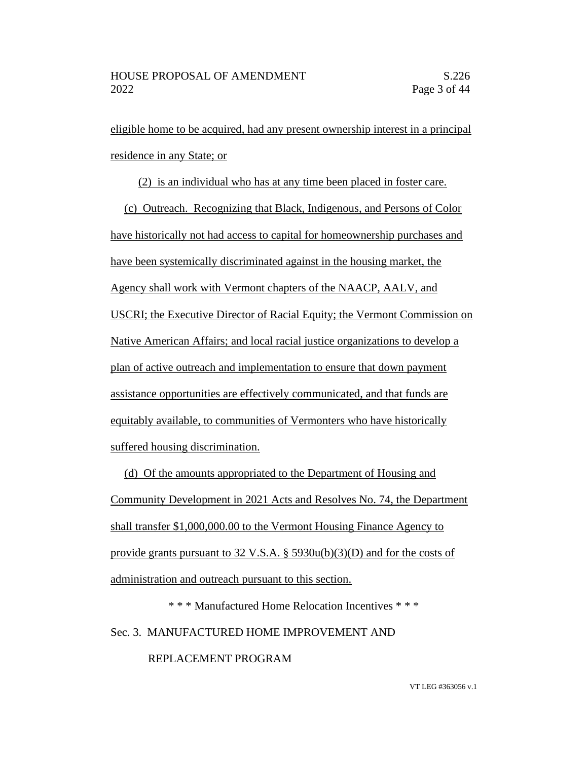eligible home to be acquired, had any present ownership interest in a principal residence in any State; or

(2) is an individual who has at any time been placed in foster care.

(c) Outreach. Recognizing that Black, Indigenous, and Persons of Color have historically not had access to capital for homeownership purchases and have been systemically discriminated against in the housing market, the Agency shall work with Vermont chapters of the NAACP, AALV, and USCRI; the Executive Director of Racial Equity; the Vermont Commission on Native American Affairs; and local racial justice organizations to develop a plan of active outreach and implementation to ensure that down payment assistance opportunities are effectively communicated, and that funds are equitably available, to communities of Vermonters who have historically suffered housing discrimination.

(d) Of the amounts appropriated to the Department of Housing and Community Development in 2021 Acts and Resolves No. 74, the Department shall transfer \$1,000,000.00 to the Vermont Housing Finance Agency to provide grants pursuant to 32 V.S.A. § 5930u(b)(3)(D) and for the costs of administration and outreach pursuant to this section.

\* \* \* Manufactured Home Relocation Incentives \* \* \* Sec. 3. MANUFACTURED HOME IMPROVEMENT AND

## REPLACEMENT PROGRAM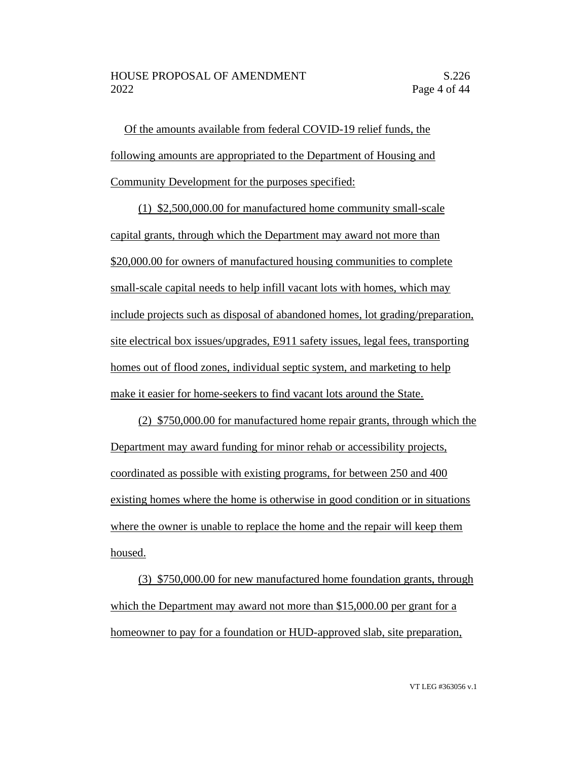Of the amounts available from federal COVID-19 relief funds, the following amounts are appropriated to the Department of Housing and Community Development for the purposes specified:

(1) \$2,500,000.00 for manufactured home community small-scale capital grants, through which the Department may award not more than \$20,000.00 for owners of manufactured housing communities to complete small-scale capital needs to help infill vacant lots with homes, which may include projects such as disposal of abandoned homes, lot grading/preparation, site electrical box issues/upgrades, E911 safety issues, legal fees, transporting homes out of flood zones, individual septic system, and marketing to help make it easier for home-seekers to find vacant lots around the State.

(2) \$750,000.00 for manufactured home repair grants, through which the Department may award funding for minor rehab or accessibility projects, coordinated as possible with existing programs, for between 250 and 400 existing homes where the home is otherwise in good condition or in situations where the owner is unable to replace the home and the repair will keep them housed.

(3) \$750,000.00 for new manufactured home foundation grants, through which the Department may award not more than \$15,000.00 per grant for a homeowner to pay for a foundation or HUD-approved slab, site preparation,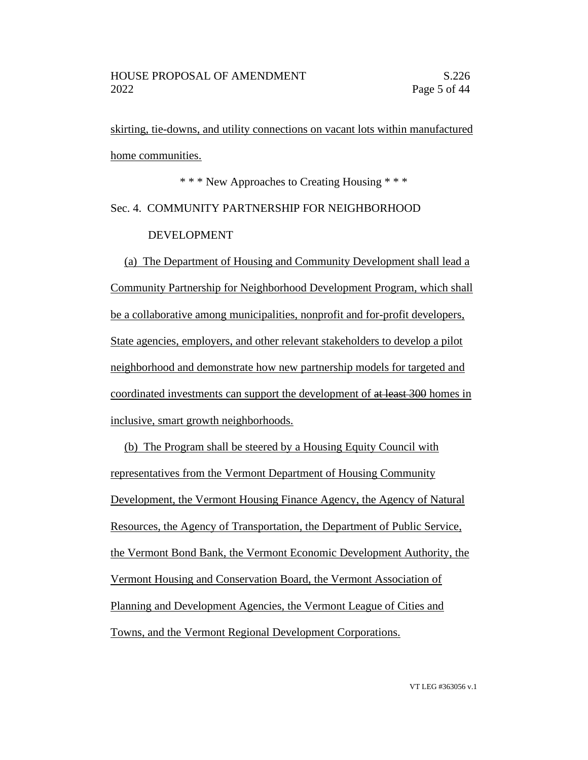skirting, tie-downs, and utility connections on vacant lots within manufactured home communities.

\* \* \* New Approaches to Creating Housing \* \* \* Sec. 4. COMMUNITY PARTNERSHIP FOR NEIGHBORHOOD DEVELOPMENT

(a) The Department of Housing and Community Development shall lead a Community Partnership for Neighborhood Development Program, which shall be a collaborative among municipalities, nonprofit and for-profit developers, State agencies, employers, and other relevant stakeholders to develop a pilot neighborhood and demonstrate how new partnership models for targeted and coordinated investments can support the development of at least 300 homes in inclusive, smart growth neighborhoods.

(b) The Program shall be steered by a Housing Equity Council with representatives from the Vermont Department of Housing Community Development, the Vermont Housing Finance Agency, the Agency of Natural Resources, the Agency of Transportation, the Department of Public Service, the Vermont Bond Bank, the Vermont Economic Development Authority, the Vermont Housing and Conservation Board, the Vermont Association of Planning and Development Agencies, the Vermont League of Cities and Towns, and the Vermont Regional Development Corporations.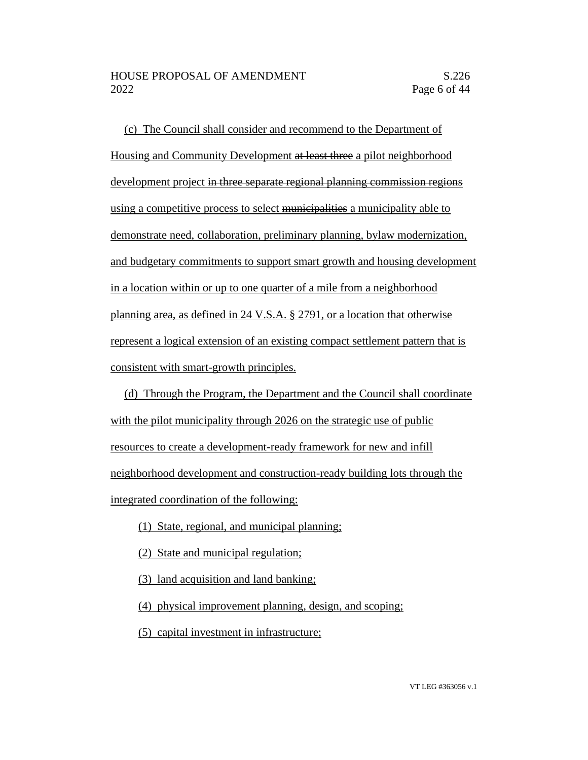(c) The Council shall consider and recommend to the Department of Housing and Community Development at least three a pilot neighborhood development project in three separate regional planning commission regions using a competitive process to select municipalities a municipality able to demonstrate need, collaboration, preliminary planning, bylaw modernization, and budgetary commitments to support smart growth and housing development in a location within or up to one quarter of a mile from a neighborhood planning area, as defined in 24 V.S.A. § 2791, or a location that otherwise represent a logical extension of an existing compact settlement pattern that is consistent with smart-growth principles.

(d) Through the Program, the Department and the Council shall coordinate with the pilot municipality through 2026 on the strategic use of public resources to create a development-ready framework for new and infill neighborhood development and construction-ready building lots through the integrated coordination of the following:

- (1) State, regional, and municipal planning;
- (2) State and municipal regulation;
- (3) land acquisition and land banking;
- (4) physical improvement planning, design, and scoping;
- (5) capital investment in infrastructure;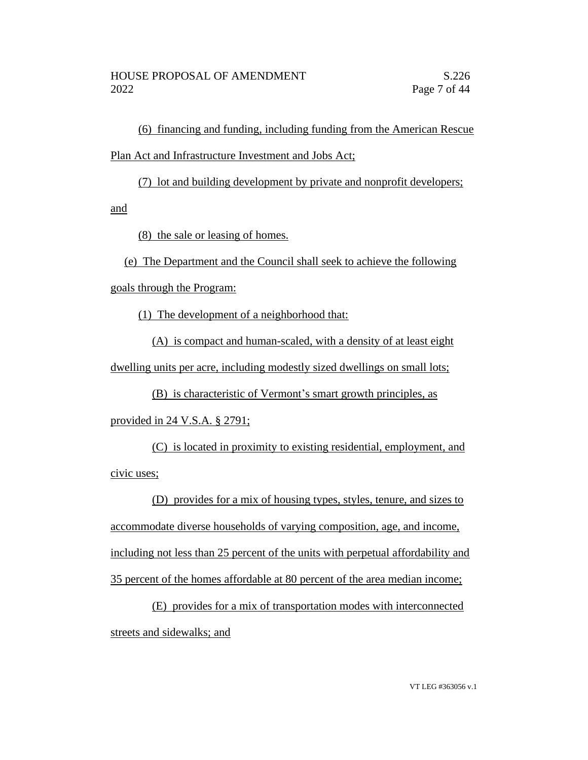(6) financing and funding, including funding from the American Rescue Plan Act and Infrastructure Investment and Jobs Act;

(7) lot and building development by private and nonprofit developers;

and

(8) the sale or leasing of homes.

(e) The Department and the Council shall seek to achieve the following goals through the Program:

(1) The development of a neighborhood that:

(A) is compact and human-scaled, with a density of at least eight dwelling units per acre, including modestly sized dwellings on small lots;

(B) is characteristic of Vermont's smart growth principles, as provided in 24 V.S.A. § 2791;

(C) is located in proximity to existing residential, employment, and civic uses;

(D) provides for a mix of housing types, styles, tenure, and sizes to accommodate diverse households of varying composition, age, and income, including not less than 25 percent of the units with perpetual affordability and 35 percent of the homes affordable at 80 percent of the area median income;

(E) provides for a mix of transportation modes with interconnected streets and sidewalks; and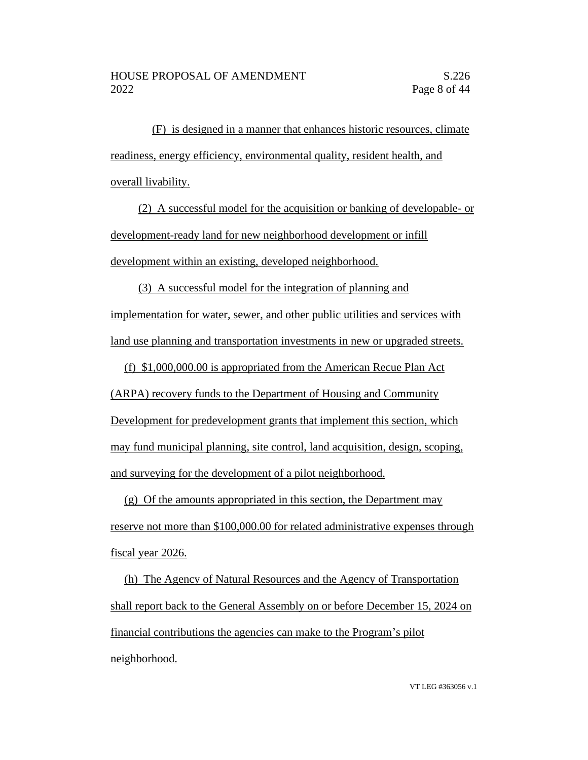(F) is designed in a manner that enhances historic resources, climate readiness, energy efficiency, environmental quality, resident health, and overall livability.

(2) A successful model for the acquisition or banking of developable- or development-ready land for new neighborhood development or infill development within an existing, developed neighborhood.

(3) A successful model for the integration of planning and implementation for water, sewer, and other public utilities and services with land use planning and transportation investments in new or upgraded streets.

(f) \$1,000,000.00 is appropriated from the American Recue Plan Act (ARPA) recovery funds to the Department of Housing and Community Development for predevelopment grants that implement this section, which may fund municipal planning, site control, land acquisition, design, scoping, and surveying for the development of a pilot neighborhood.

(g) Of the amounts appropriated in this section, the Department may reserve not more than \$100,000.00 for related administrative expenses through fiscal year 2026.

(h) The Agency of Natural Resources and the Agency of Transportation shall report back to the General Assembly on or before December 15, 2024 on financial contributions the agencies can make to the Program's pilot neighborhood.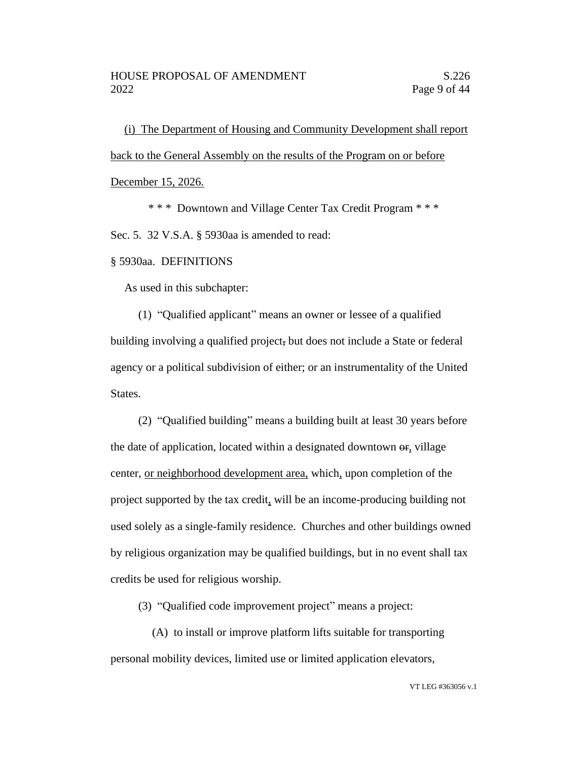(i) The Department of Housing and Community Development shall report back to the General Assembly on the results of the Program on or before

December 15, 2026.

\* \* \* Downtown and Village Center Tax Credit Program \* \* \*

Sec. 5. 32 V.S.A. § 5930aa is amended to read:

#### § 5930aa. DEFINITIONS

As used in this subchapter:

(1) "Qualified applicant" means an owner or lessee of a qualified building involving a qualified project, but does not include a State or federal agency or a political subdivision of either; or an instrumentality of the United States.

(2) "Qualified building" means a building built at least 30 years before the date of application, located within a designated downtown  $\theta$ <sub>r</sub> village center, or neighborhood development area, which, upon completion of the project supported by the tax credit, will be an income-producing building not used solely as a single-family residence. Churches and other buildings owned by religious organization may be qualified buildings, but in no event shall tax credits be used for religious worship.

(3) "Qualified code improvement project" means a project:

(A) to install or improve platform lifts suitable for transporting personal mobility devices, limited use or limited application elevators,

VT LEG #363056 v.1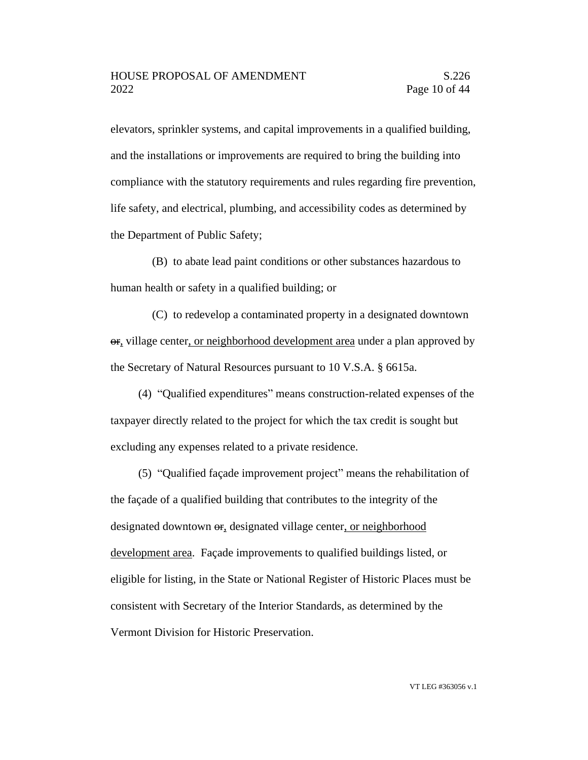elevators, sprinkler systems, and capital improvements in a qualified building, and the installations or improvements are required to bring the building into compliance with the statutory requirements and rules regarding fire prevention, life safety, and electrical, plumbing, and accessibility codes as determined by the Department of Public Safety;

(B) to abate lead paint conditions or other substances hazardous to human health or safety in a qualified building; or

(C) to redevelop a contaminated property in a designated downtown or, village center, or neighborhood development area under a plan approved by the Secretary of Natural Resources pursuant to 10 V.S.A. § 6615a.

(4) "Qualified expenditures" means construction-related expenses of the taxpayer directly related to the project for which the tax credit is sought but excluding any expenses related to a private residence.

(5) "Qualified façade improvement project" means the rehabilitation of the façade of a qualified building that contributes to the integrity of the designated downtown  $\Theta$ **r**, designated village center, or neighborhood development area. Façade improvements to qualified buildings listed, or eligible for listing, in the State or National Register of Historic Places must be consistent with Secretary of the Interior Standards, as determined by the Vermont Division for Historic Preservation.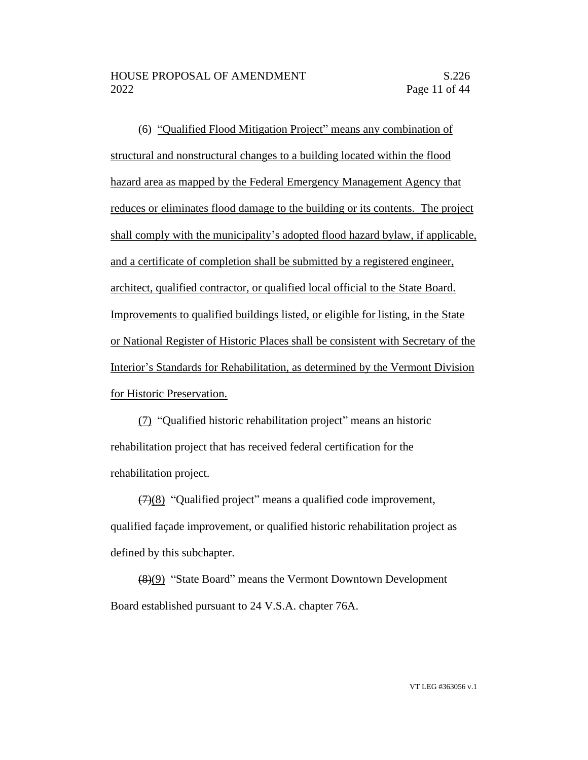(6) "Qualified Flood Mitigation Project" means any combination of structural and nonstructural changes to a building located within the flood hazard area as mapped by the Federal Emergency Management Agency that reduces or eliminates flood damage to the building or its contents. The project shall comply with the municipality's adopted flood hazard bylaw, if applicable, and a certificate of completion shall be submitted by a registered engineer, architect, qualified contractor, or qualified local official to the State Board. Improvements to qualified buildings listed, or eligible for listing, in the State or National Register of Historic Places shall be consistent with Secretary of the Interior's Standards for Rehabilitation, as determined by the Vermont Division for Historic Preservation.

(7) "Qualified historic rehabilitation project" means an historic rehabilitation project that has received federal certification for the rehabilitation project.

 $(7)(8)$  "Qualified project" means a qualified code improvement, qualified façade improvement, or qualified historic rehabilitation project as defined by this subchapter.

(8)(9) "State Board" means the Vermont Downtown Development Board established pursuant to 24 V.S.A. chapter 76A.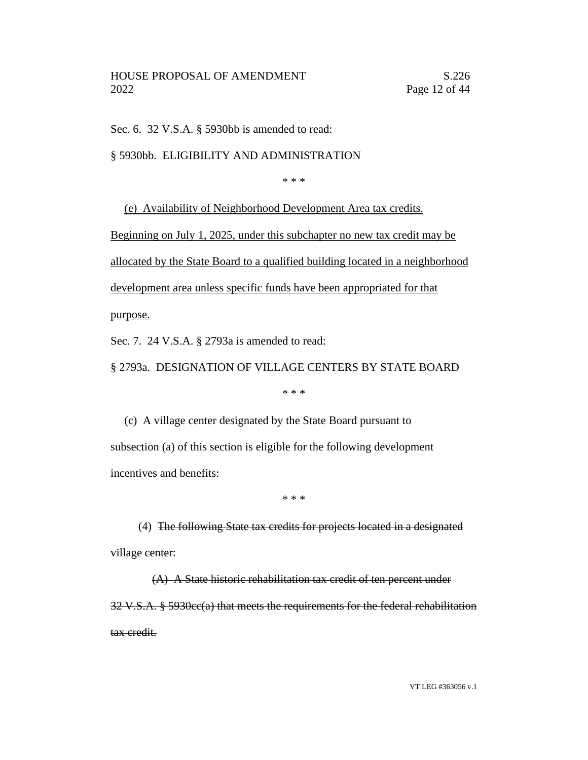Sec. 6. 32 V.S.A. § 5930bb is amended to read:

§ 5930bb. ELIGIBILITY AND ADMINISTRATION

\* \* \*

(e) Availability of Neighborhood Development Area tax credits.

Beginning on July 1, 2025, under this subchapter no new tax credit may be

allocated by the State Board to a qualified building located in a neighborhood

development area unless specific funds have been appropriated for that

purpose.

Sec. 7. 24 V.S.A. § 2793a is amended to read:

§ 2793a. DESIGNATION OF VILLAGE CENTERS BY STATE BOARD

\* \* \*

(c) A village center designated by the State Board pursuant to subsection (a) of this section is eligible for the following development incentives and benefits:

\* \* \*

(4) The following State tax credits for projects located in a designated village center:

(A) A State historic rehabilitation tax credit of ten percent under 32 V.S.A. § 5930cc(a) that meets the requirements for the federal rehabilitation tax credit.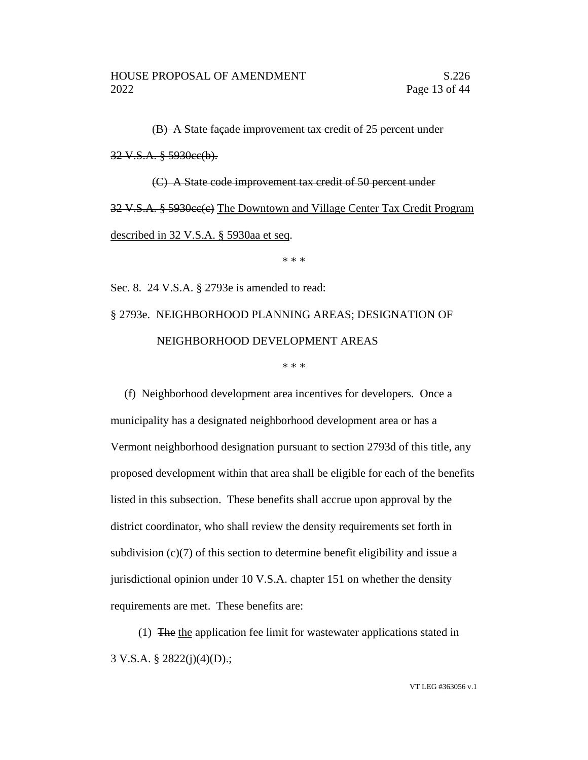(B) A State façade improvement tax credit of 25 percent under 32 V.S.A. § 5930cc(b). (C) A State code improvement tax credit of 50 percent under 32 V.S.A. § 5930cc(e) The Downtown and Village Center Tax Credit Program

described in 32 V.S.A. § 5930aa et seq.

\* \* \*

Sec. 8. 24 V.S.A. § 2793e is amended to read: § 2793e. NEIGHBORHOOD PLANNING AREAS; DESIGNATION OF NEIGHBORHOOD DEVELOPMENT AREAS

\* \* \*

(f) Neighborhood development area incentives for developers. Once a municipality has a designated neighborhood development area or has a Vermont neighborhood designation pursuant to section 2793d of this title, any proposed development within that area shall be eligible for each of the benefits listed in this subsection. These benefits shall accrue upon approval by the district coordinator, who shall review the density requirements set forth in subdivision (c)(7) of this section to determine benefit eligibility and issue a jurisdictional opinion under 10 V.S.A. chapter 151 on whether the density requirements are met. These benefits are:

(1) The the application fee limit for wastewater applications stated in 3 V.S.A. § 2822(j)(4)(D).;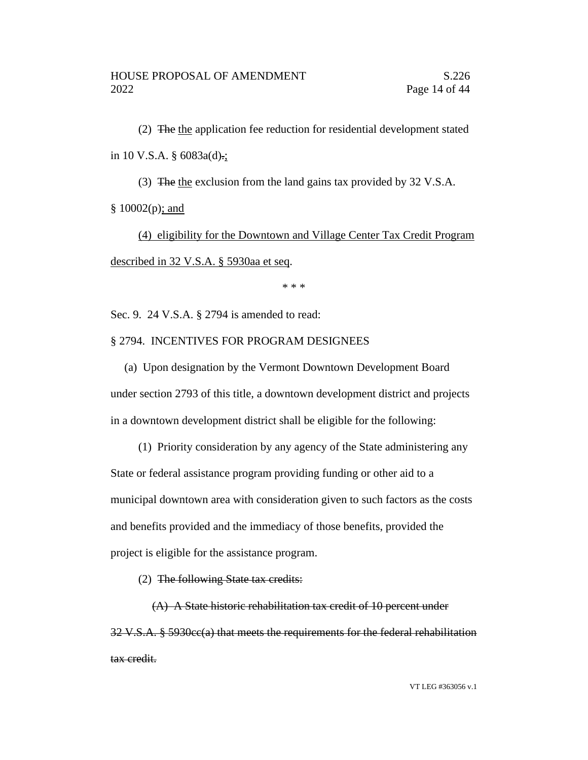(2) The the application fee reduction for residential development stated in 10 V.S.A. § 6083a(d).;

(3) The the exclusion from the land gains tax provided by 32 V.S.A.

§ 10002(p); and

(4) eligibility for the Downtown and Village Center Tax Credit Program described in 32 V.S.A. § 5930aa et seq.

\* \* \*

Sec. 9. 24 V.S.A. § 2794 is amended to read:

## § 2794. INCENTIVES FOR PROGRAM DESIGNEES

(a) Upon designation by the Vermont Downtown Development Board under section 2793 of this title, a downtown development district and projects in a downtown development district shall be eligible for the following:

(1) Priority consideration by any agency of the State administering any State or federal assistance program providing funding or other aid to a municipal downtown area with consideration given to such factors as the costs and benefits provided and the immediacy of those benefits, provided the project is eligible for the assistance program.

(2) The following State tax credits:

(A) A State historic rehabilitation tax credit of 10 percent under 32 V.S.A. § 5930cc(a) that meets the requirements for the federal rehabilitation tax credit.

VT LEG #363056 v.1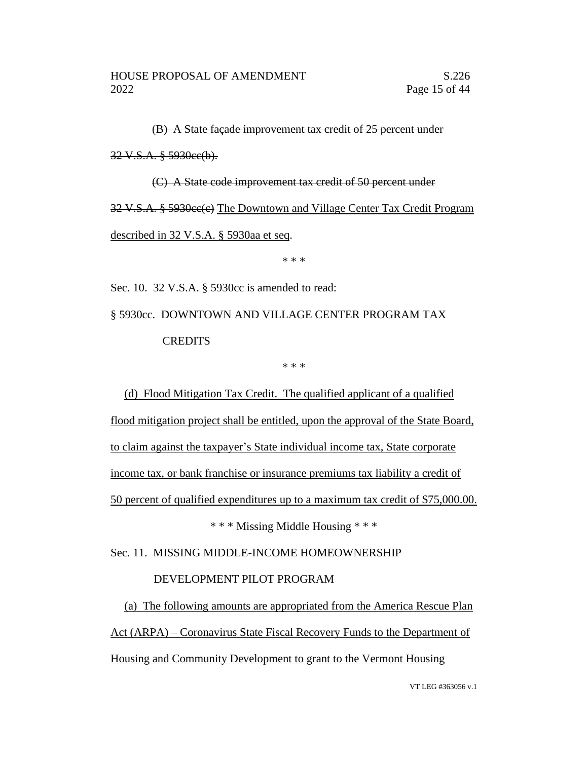(B) A State façade improvement tax credit of 25 percent under

32 V.S.A. § 5930cc(b).

(C) A State code improvement tax credit of 50 percent under 32 V.S.A. § 5930ee(e) The Downtown and Village Center Tax Credit Program described in 32 V.S.A. § 5930aa et seq.

\* \* \*

Sec. 10. 32 V.S.A. § 5930cc is amended to read:

§ 5930cc. DOWNTOWN AND VILLAGE CENTER PROGRAM TAX **CREDITS** 

\* \* \*

(d) Flood Mitigation Tax Credit. The qualified applicant of a qualified flood mitigation project shall be entitled, upon the approval of the State Board, to claim against the taxpayer's State individual income tax, State corporate income tax, or bank franchise or insurance premiums tax liability a credit of 50 percent of qualified expenditures up to a maximum tax credit of \$75,000.00.

\* \* \* Missing Middle Housing \* \* \*

Sec. 11. MISSING MIDDLE-INCOME HOMEOWNERSHIP

## DEVELOPMENT PILOT PROGRAM

(a) The following amounts are appropriated from the America Rescue Plan Act (ARPA) – Coronavirus State Fiscal Recovery Funds to the Department of Housing and Community Development to grant to the Vermont Housing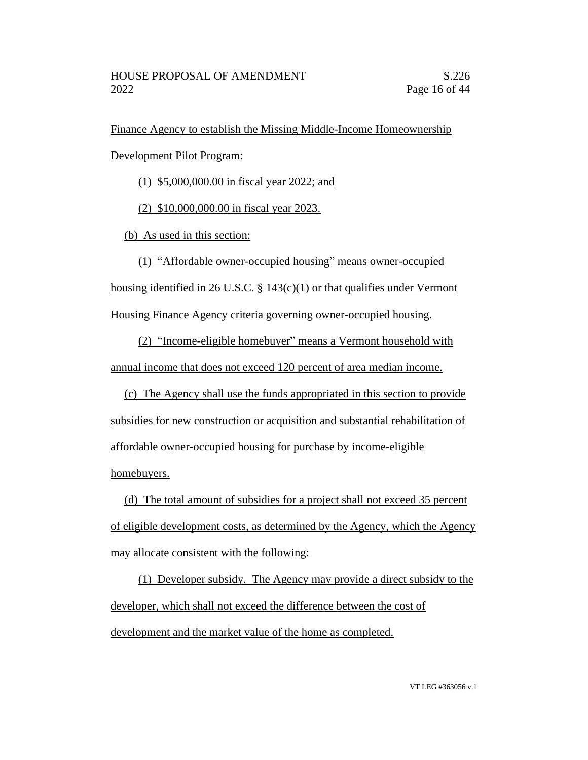Finance Agency to establish the Missing Middle-Income Homeownership

Development Pilot Program:

(1) \$5,000,000.00 in fiscal year 2022; and

(2) \$10,000,000.00 in fiscal year 2023.

(b) As used in this section:

(1) "Affordable owner-occupied housing" means owner-occupied housing identified in 26 U.S.C. § 143(c)(1) or that qualifies under Vermont

Housing Finance Agency criteria governing owner-occupied housing.

(2) "Income-eligible homebuyer" means a Vermont household with annual income that does not exceed 120 percent of area median income.

(c) The Agency shall use the funds appropriated in this section to provide subsidies for new construction or acquisition and substantial rehabilitation of affordable owner-occupied housing for purchase by income-eligible homebuyers.

(d) The total amount of subsidies for a project shall not exceed 35 percent of eligible development costs, as determined by the Agency, which the Agency may allocate consistent with the following:

(1) Developer subsidy. The Agency may provide a direct subsidy to the developer, which shall not exceed the difference between the cost of development and the market value of the home as completed.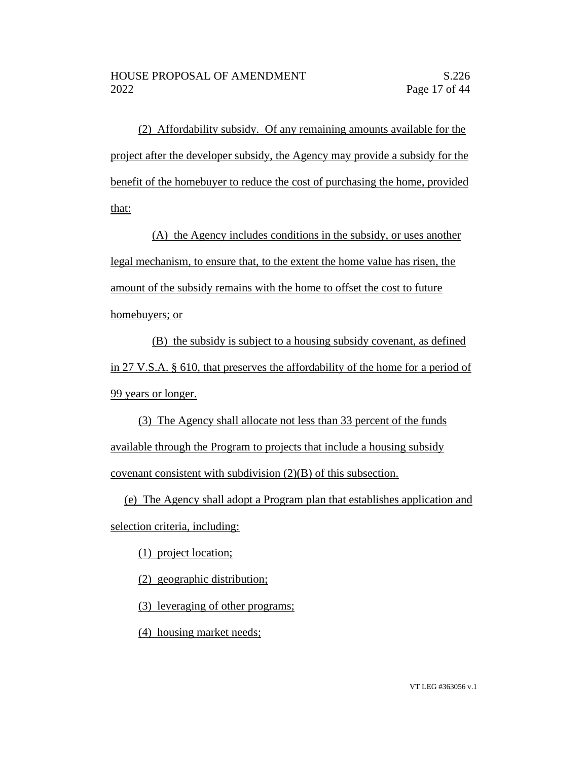(2) Affordability subsidy. Of any remaining amounts available for the project after the developer subsidy, the Agency may provide a subsidy for the benefit of the homebuyer to reduce the cost of purchasing the home, provided that:

(A) the Agency includes conditions in the subsidy, or uses another legal mechanism, to ensure that, to the extent the home value has risen, the amount of the subsidy remains with the home to offset the cost to future homebuyers; or

(B) the subsidy is subject to a housing subsidy covenant, as defined in 27 V.S.A. § 610, that preserves the affordability of the home for a period of 99 years or longer.

(3) The Agency shall allocate not less than 33 percent of the funds available through the Program to projects that include a housing subsidy covenant consistent with subdivision (2)(B) of this subsection.

(e) The Agency shall adopt a Program plan that establishes application and selection criteria, including:

(1) project location;

(2) geographic distribution;

(3) leveraging of other programs;

(4) housing market needs;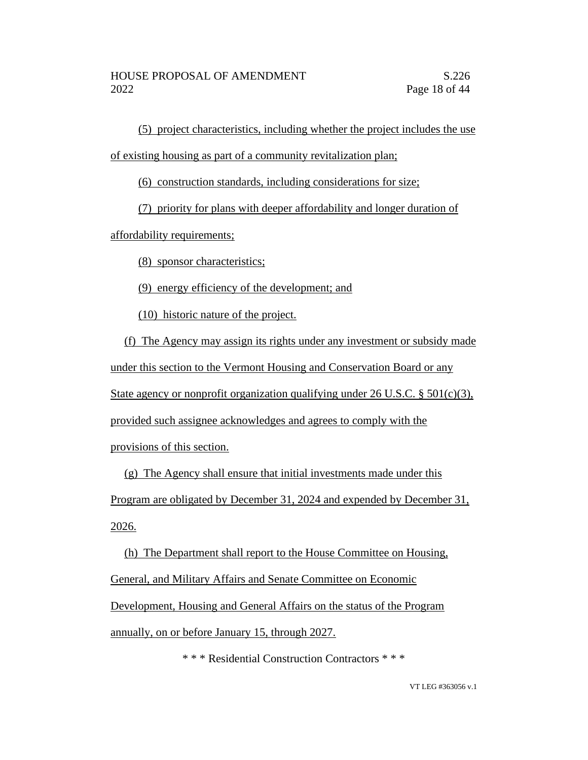(5) project characteristics, including whether the project includes the use of existing housing as part of a community revitalization plan;

(6) construction standards, including considerations for size;

(7) priority for plans with deeper affordability and longer duration of

affordability requirements;

(8) sponsor characteristics;

(9) energy efficiency of the development; and

(10) historic nature of the project.

(f) The Agency may assign its rights under any investment or subsidy made under this section to the Vermont Housing and Conservation Board or any State agency or nonprofit organization qualifying under 26 U.S.C. §  $501(c)(3)$ , provided such assignee acknowledges and agrees to comply with the provisions of this section.

(g) The Agency shall ensure that initial investments made under this Program are obligated by December 31, 2024 and expended by December 31, 2026.

(h) The Department shall report to the House Committee on Housing,

General, and Military Affairs and Senate Committee on Economic

Development, Housing and General Affairs on the status of the Program

annually, on or before January 15, through 2027.

\* \* \* Residential Construction Contractors \* \* \*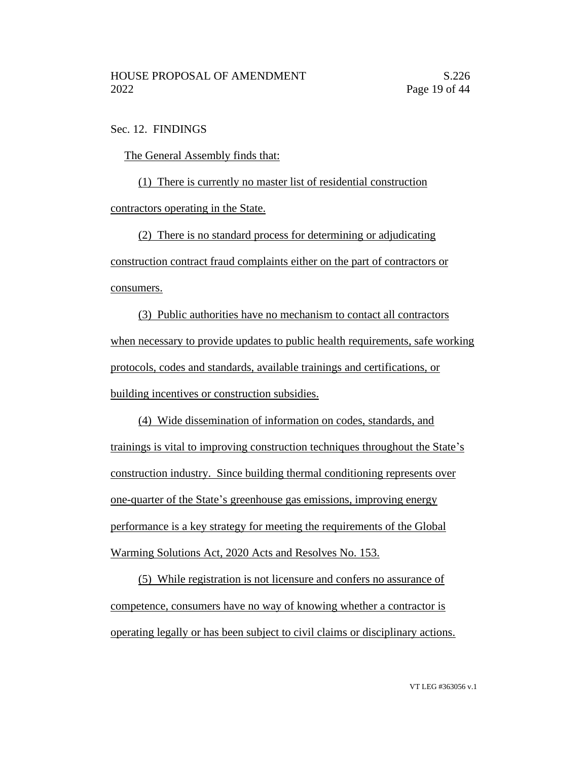Sec. 12. FINDINGS

The General Assembly finds that:

(1) There is currently no master list of residential construction contractors operating in the State.

(2) There is no standard process for determining or adjudicating construction contract fraud complaints either on the part of contractors or consumers.

(3) Public authorities have no mechanism to contact all contractors when necessary to provide updates to public health requirements, safe working protocols, codes and standards, available trainings and certifications, or building incentives or construction subsidies.

(4) Wide dissemination of information on codes, standards, and trainings is vital to improving construction techniques throughout the State's construction industry. Since building thermal conditioning represents over one-quarter of the State's greenhouse gas emissions, improving energy performance is a key strategy for meeting the requirements of the Global Warming Solutions Act, 2020 Acts and Resolves No. 153.

(5) While registration is not licensure and confers no assurance of competence, consumers have no way of knowing whether a contractor is operating legally or has been subject to civil claims or disciplinary actions.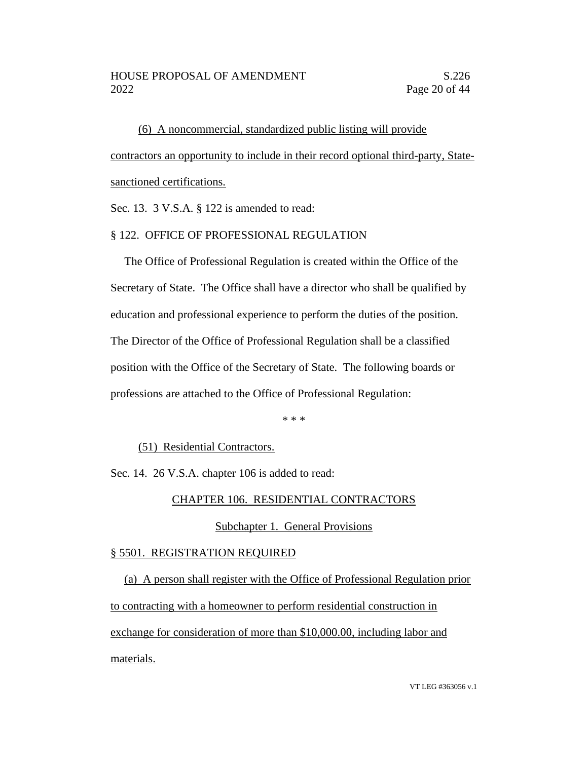(6) A noncommercial, standardized public listing will provide contractors an opportunity to include in their record optional third-party, Statesanctioned certifications.

Sec. 13. 3 V.S.A. § 122 is amended to read:

### § 122. OFFICE OF PROFESSIONAL REGULATION

The Office of Professional Regulation is created within the Office of the Secretary of State. The Office shall have a director who shall be qualified by education and professional experience to perform the duties of the position. The Director of the Office of Professional Regulation shall be a classified position with the Office of the Secretary of State. The following boards or professions are attached to the Office of Professional Regulation:

\* \* \*

(51) Residential Contractors.

Sec. 14. 26 V.S.A. chapter 106 is added to read:

#### CHAPTER 106. RESIDENTIAL CONTRACTORS

#### Subchapter 1. General Provisions

#### § 5501. REGISTRATION REQUIRED

(a) A person shall register with the Office of Professional Regulation prior to contracting with a homeowner to perform residential construction in exchange for consideration of more than \$10,000.00, including labor and materials.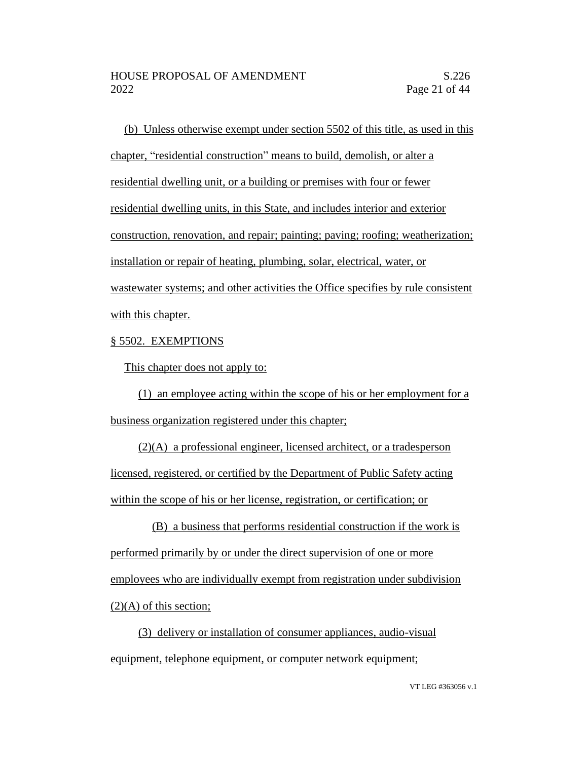(b) Unless otherwise exempt under section 5502 of this title, as used in this chapter, "residential construction" means to build, demolish, or alter a residential dwelling unit, or a building or premises with four or fewer residential dwelling units, in this State, and includes interior and exterior construction, renovation, and repair; painting; paving; roofing; weatherization; installation or repair of heating, plumbing, solar, electrical, water, or wastewater systems; and other activities the Office specifies by rule consistent with this chapter.

## § 5502. EXEMPTIONS

This chapter does not apply to:

(1) an employee acting within the scope of his or her employment for a business organization registered under this chapter;

(2)(A) a professional engineer, licensed architect, or a tradesperson licensed, registered, or certified by the Department of Public Safety acting within the scope of his or her license, registration, or certification; or

(B) a business that performs residential construction if the work is performed primarily by or under the direct supervision of one or more employees who are individually exempt from registration under subdivision  $(2)(A)$  of this section;

(3) delivery or installation of consumer appliances, audio-visual equipment, telephone equipment, or computer network equipment;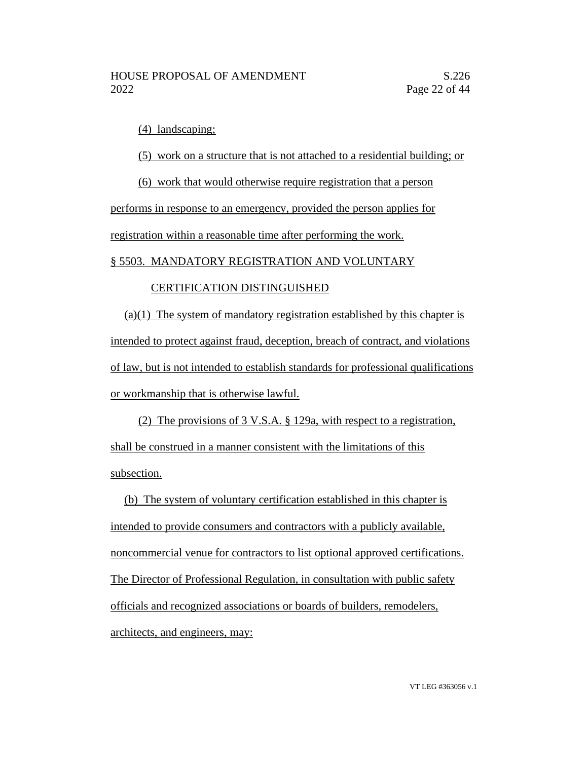(4) landscaping;

(5) work on a structure that is not attached to a residential building; or

(6) work that would otherwise require registration that a person

performs in response to an emergency, provided the person applies for registration within a reasonable time after performing the work.

## § 5503. MANDATORY REGISTRATION AND VOLUNTARY

## CERTIFICATION DISTINGUISHED

(a)(1) The system of mandatory registration established by this chapter is intended to protect against fraud, deception, breach of contract, and violations of law, but is not intended to establish standards for professional qualifications or workmanship that is otherwise lawful.

(2) The provisions of 3 V.S.A. § 129a, with respect to a registration, shall be construed in a manner consistent with the limitations of this subsection.

(b) The system of voluntary certification established in this chapter is intended to provide consumers and contractors with a publicly available, noncommercial venue for contractors to list optional approved certifications. The Director of Professional Regulation, in consultation with public safety officials and recognized associations or boards of builders, remodelers, architects, and engineers, may: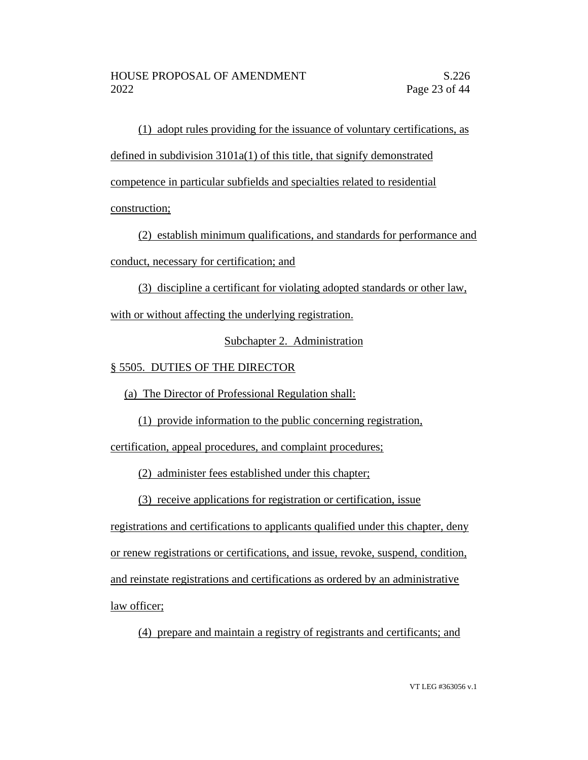(1) adopt rules providing for the issuance of voluntary certifications, as defined in subdivision 3101a(1) of this title, that signify demonstrated competence in particular subfields and specialties related to residential construction;

(2) establish minimum qualifications, and standards for performance and conduct, necessary for certification; and

(3) discipline a certificant for violating adopted standards or other law,

with or without affecting the underlying registration.

Subchapter 2. Administration

# § 5505. DUTIES OF THE DIRECTOR

(a) The Director of Professional Regulation shall:

(1) provide information to the public concerning registration,

certification, appeal procedures, and complaint procedures;

(2) administer fees established under this chapter;

(3) receive applications for registration or certification, issue

registrations and certifications to applicants qualified under this chapter, deny or renew registrations or certifications, and issue, revoke, suspend, condition, and reinstate registrations and certifications as ordered by an administrative law officer;

(4) prepare and maintain a registry of registrants and certificants; and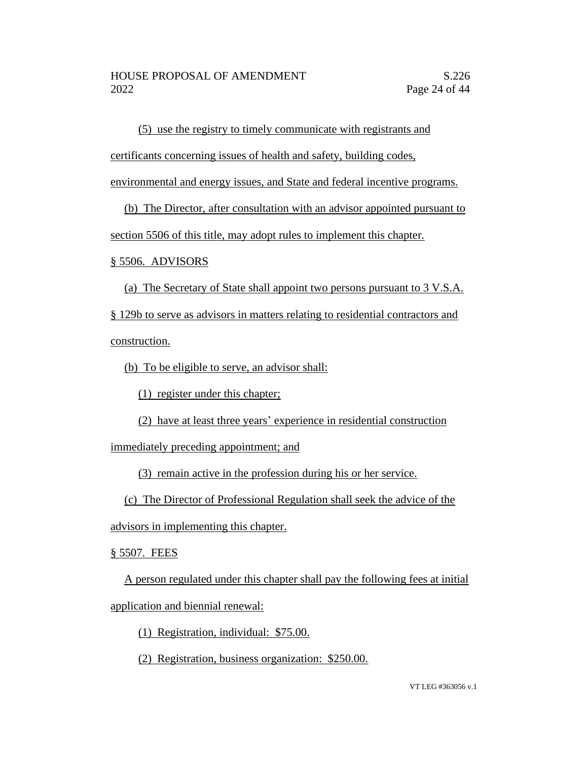(5) use the registry to timely communicate with registrants and

certificants concerning issues of health and safety, building codes,

environmental and energy issues, and State and federal incentive programs.

(b) The Director, after consultation with an advisor appointed pursuant to

section 5506 of this title, may adopt rules to implement this chapter.

§ 5506. ADVISORS

(a) The Secretary of State shall appoint two persons pursuant to 3 V.S.A.

§ 129b to serve as advisors in matters relating to residential contractors and construction.

(b) To be eligible to serve, an advisor shall:

(1) register under this chapter;

(2) have at least three years' experience in residential construction

immediately preceding appointment; and

(3) remain active in the profession during his or her service.

(c) The Director of Professional Regulation shall seek the advice of the

advisors in implementing this chapter.

§ 5507. FEES

A person regulated under this chapter shall pay the following fees at initial application and biennial renewal:

(1) Registration, individual: \$75.00.

(2) Registration, business organization: \$250.00.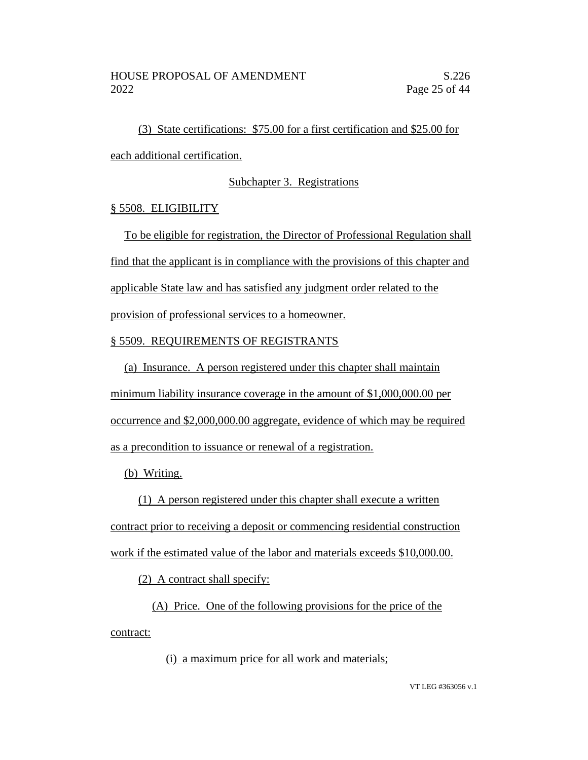(3) State certifications: \$75.00 for a first certification and \$25.00 for each additional certification.

## Subchapter 3. Registrations

## § 5508. ELIGIBILITY

To be eligible for registration, the Director of Professional Regulation shall find that the applicant is in compliance with the provisions of this chapter and applicable State law and has satisfied any judgment order related to the provision of professional services to a homeowner.

# § 5509. REQUIREMENTS OF REGISTRANTS

(a) Insurance. A person registered under this chapter shall maintain

minimum liability insurance coverage in the amount of \$1,000,000.00 per

occurrence and \$2,000,000.00 aggregate, evidence of which may be required

as a precondition to issuance or renewal of a registration.

(b) Writing.

(1) A person registered under this chapter shall execute a written

contract prior to receiving a deposit or commencing residential construction

work if the estimated value of the labor and materials exceeds \$10,000.00.

(2) A contract shall specify:

(A) Price. One of the following provisions for the price of the contract:

(i) a maximum price for all work and materials;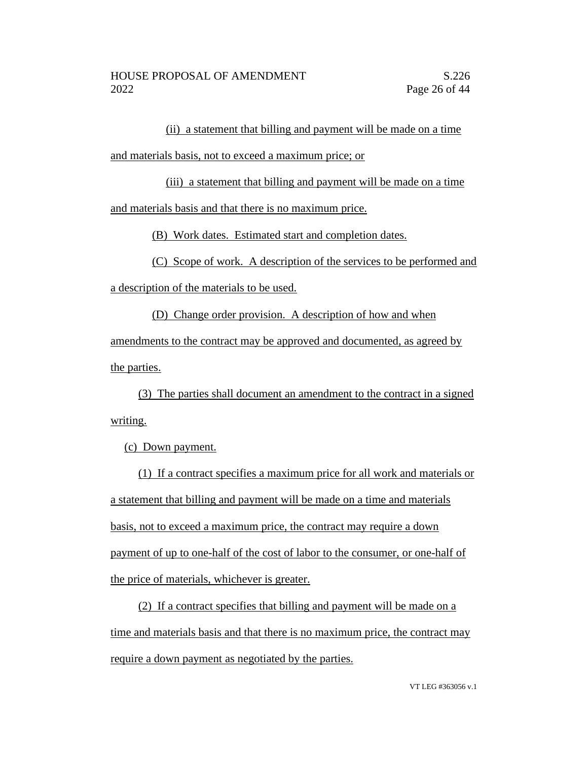(ii) a statement that billing and payment will be made on a time

and materials basis, not to exceed a maximum price; or

(iii) a statement that billing and payment will be made on a time

and materials basis and that there is no maximum price.

(B) Work dates. Estimated start and completion dates.

(C) Scope of work. A description of the services to be performed and a description of the materials to be used.

(D) Change order provision. A description of how and when amendments to the contract may be approved and documented, as agreed by the parties.

(3) The parties shall document an amendment to the contract in a signed writing.

(c) Down payment.

(1) If a contract specifies a maximum price for all work and materials or a statement that billing and payment will be made on a time and materials basis, not to exceed a maximum price, the contract may require a down payment of up to one-half of the cost of labor to the consumer, or one-half of the price of materials, whichever is greater.

(2) If a contract specifies that billing and payment will be made on a time and materials basis and that there is no maximum price, the contract may require a down payment as negotiated by the parties.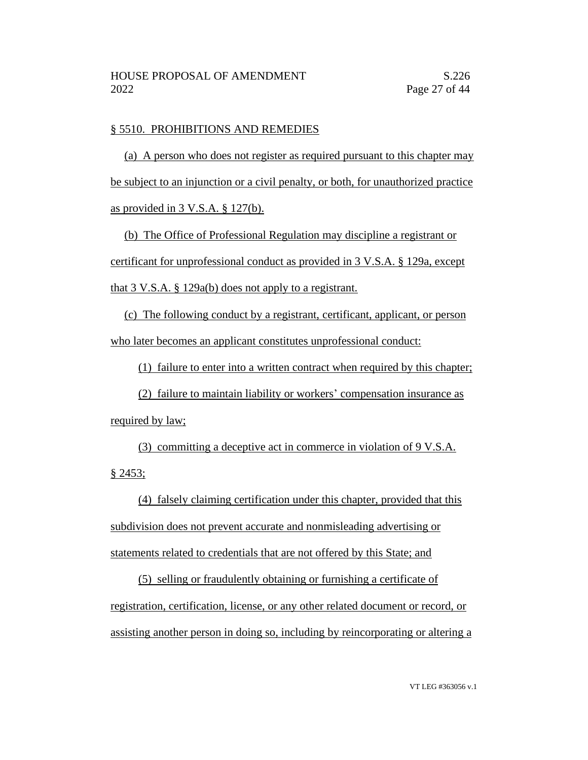### § 5510. PROHIBITIONS AND REMEDIES

(a) A person who does not register as required pursuant to this chapter may be subject to an injunction or a civil penalty, or both, for unauthorized practice as provided in 3 V.S.A. § 127(b).

(b) The Office of Professional Regulation may discipline a registrant or certificant for unprofessional conduct as provided in 3 V.S.A. § 129a, except that 3 V.S.A. § 129a(b) does not apply to a registrant.

(c) The following conduct by a registrant, certificant, applicant, or person who later becomes an applicant constitutes unprofessional conduct:

(1) failure to enter into a written contract when required by this chapter;

(2) failure to maintain liability or workers' compensation insurance as required by law;

(3) committing a deceptive act in commerce in violation of 9 V.S.A. § 2453;

(4) falsely claiming certification under this chapter, provided that this subdivision does not prevent accurate and nonmisleading advertising or statements related to credentials that are not offered by this State; and

(5) selling or fraudulently obtaining or furnishing a certificate of registration, certification, license, or any other related document or record, or assisting another person in doing so, including by reincorporating or altering a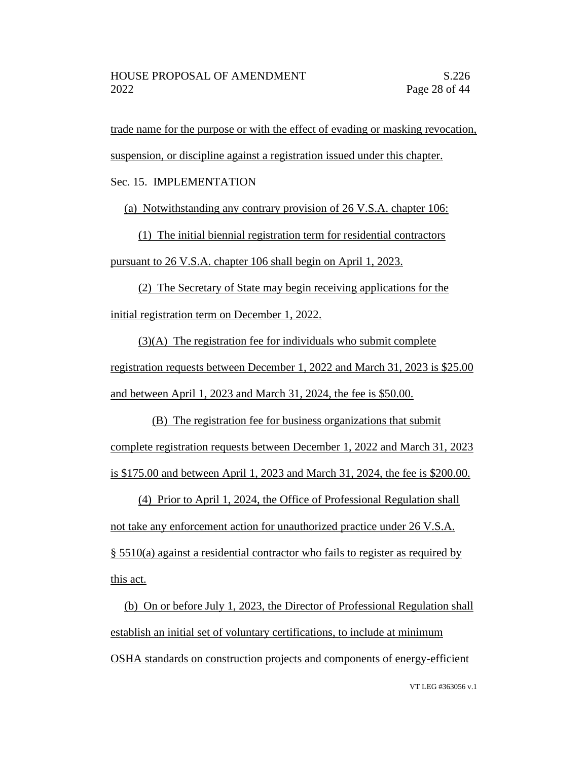trade name for the purpose or with the effect of evading or masking revocation,

suspension, or discipline against a registration issued under this chapter.

Sec. 15. IMPLEMENTATION

(a) Notwithstanding any contrary provision of 26 V.S.A. chapter 106:

(1) The initial biennial registration term for residential contractors pursuant to 26 V.S.A. chapter 106 shall begin on April 1, 2023.

(2) The Secretary of State may begin receiving applications for the initial registration term on December 1, 2022.

(3)(A) The registration fee for individuals who submit complete registration requests between December 1, 2022 and March 31, 2023 is \$25.00 and between April 1, 2023 and March 31, 2024, the fee is \$50.00.

(B) The registration fee for business organizations that submit complete registration requests between December 1, 2022 and March 31, 2023 is \$175.00 and between April 1, 2023 and March 31, 2024, the fee is \$200.00.

(4) Prior to April 1, 2024, the Office of Professional Regulation shall not take any enforcement action for unauthorized practice under 26 V.S.A. § 5510(a) against a residential contractor who fails to register as required by this act.

(b) On or before July 1, 2023, the Director of Professional Regulation shall establish an initial set of voluntary certifications, to include at minimum OSHA standards on construction projects and components of energy-efficient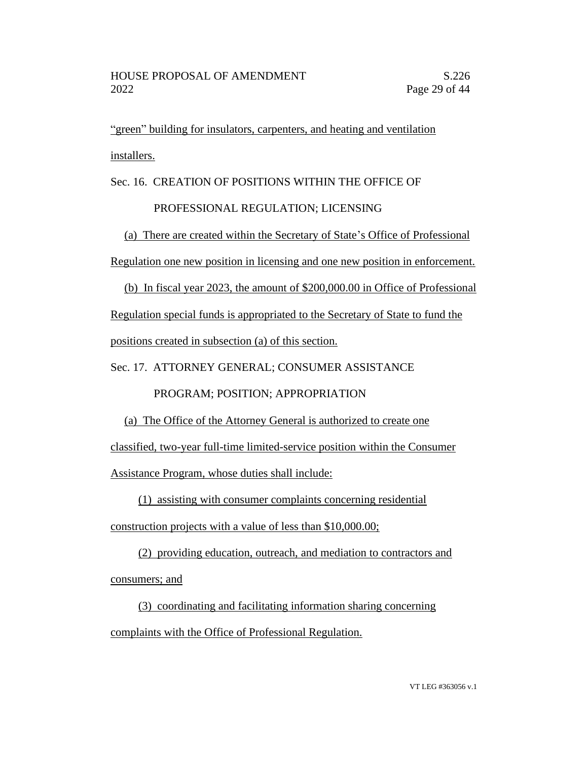"green" building for insulators, carpenters, and heating and ventilation installers.

Sec. 16. CREATION OF POSITIONS WITHIN THE OFFICE OF

# PROFESSIONAL REGULATION; LICENSING

(a) There are created within the Secretary of State's Office of Professional Regulation one new position in licensing and one new position in enforcement.

(b) In fiscal year 2023, the amount of \$200,000.00 in Office of Professional Regulation special funds is appropriated to the Secretary of State to fund the positions created in subsection (a) of this section.

Sec. 17. ATTORNEY GENERAL; CONSUMER ASSISTANCE

PROGRAM; POSITION; APPROPRIATION

(a) The Office of the Attorney General is authorized to create one

classified, two-year full-time limited-service position within the Consumer

Assistance Program, whose duties shall include:

(1) assisting with consumer complaints concerning residential

construction projects with a value of less than \$10,000.00;

(2) providing education, outreach, and mediation to contractors and consumers; and

(3) coordinating and facilitating information sharing concerning complaints with the Office of Professional Regulation.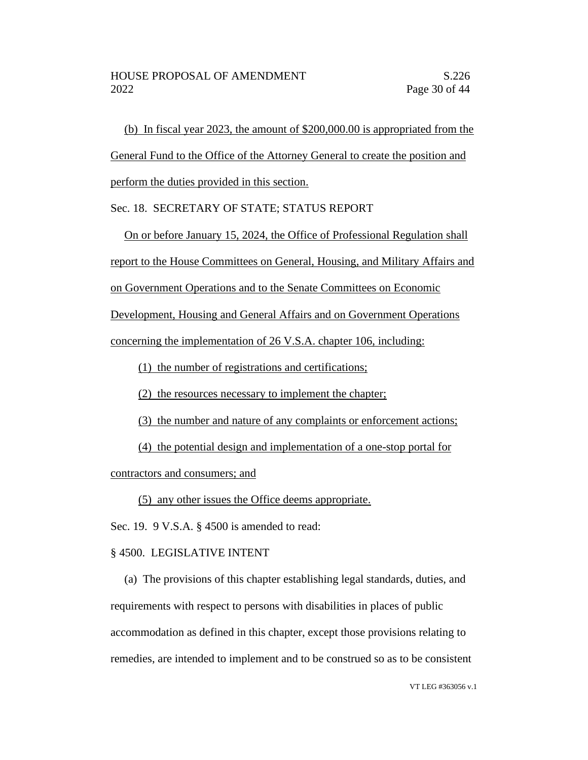(b) In fiscal year 2023, the amount of \$200,000.00 is appropriated from the General Fund to the Office of the Attorney General to create the position and perform the duties provided in this section.

## Sec. 18. SECRETARY OF STATE; STATUS REPORT

On or before January 15, 2024, the Office of Professional Regulation shall report to the House Committees on General, Housing, and Military Affairs and on Government Operations and to the Senate Committees on Economic

Development, Housing and General Affairs and on Government Operations

concerning the implementation of 26 V.S.A. chapter 106, including:

(1) the number of registrations and certifications;

(2) the resources necessary to implement the chapter;

(3) the number and nature of any complaints or enforcement actions;

(4) the potential design and implementation of a one-stop portal for

contractors and consumers; and

(5) any other issues the Office deems appropriate.

Sec. 19. 9 V.S.A. § 4500 is amended to read:

# § 4500. LEGISLATIVE INTENT

(a) The provisions of this chapter establishing legal standards, duties, and requirements with respect to persons with disabilities in places of public accommodation as defined in this chapter, except those provisions relating to remedies, are intended to implement and to be construed so as to be consistent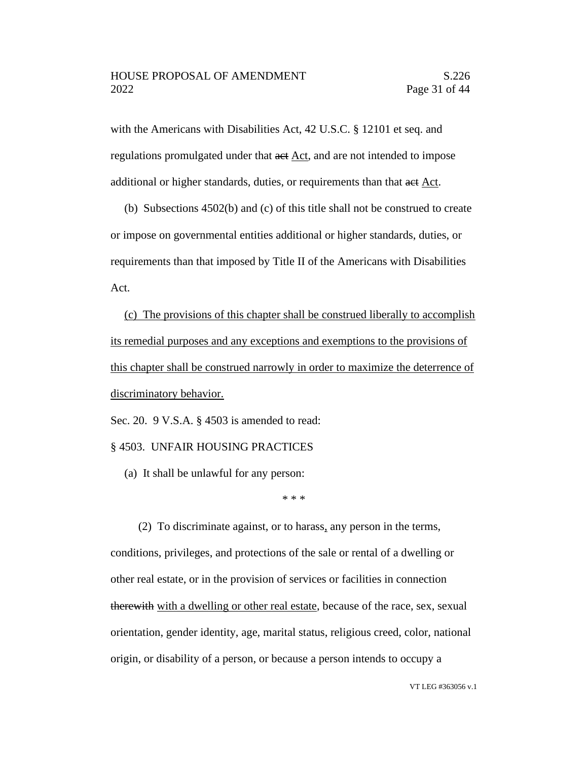with the Americans with Disabilities Act, 42 U.S.C. § 12101 et seq. and regulations promulgated under that act Act, and are not intended to impose additional or higher standards, duties, or requirements than that act Act.

(b) Subsections 4502(b) and (c) of this title shall not be construed to create or impose on governmental entities additional or higher standards, duties, or requirements than that imposed by Title II of the Americans with Disabilities Act.

(c) The provisions of this chapter shall be construed liberally to accomplish its remedial purposes and any exceptions and exemptions to the provisions of this chapter shall be construed narrowly in order to maximize the deterrence of discriminatory behavior.

Sec. 20. 9 V.S.A. § 4503 is amended to read:

#### § 4503. UNFAIR HOUSING PRACTICES

(a) It shall be unlawful for any person:

\* \* \*

(2) To discriminate against, or to harass, any person in the terms, conditions, privileges, and protections of the sale or rental of a dwelling or other real estate, or in the provision of services or facilities in connection therewith with a dwelling or other real estate, because of the race, sex, sexual orientation, gender identity, age, marital status, religious creed, color, national origin, or disability of a person, or because a person intends to occupy a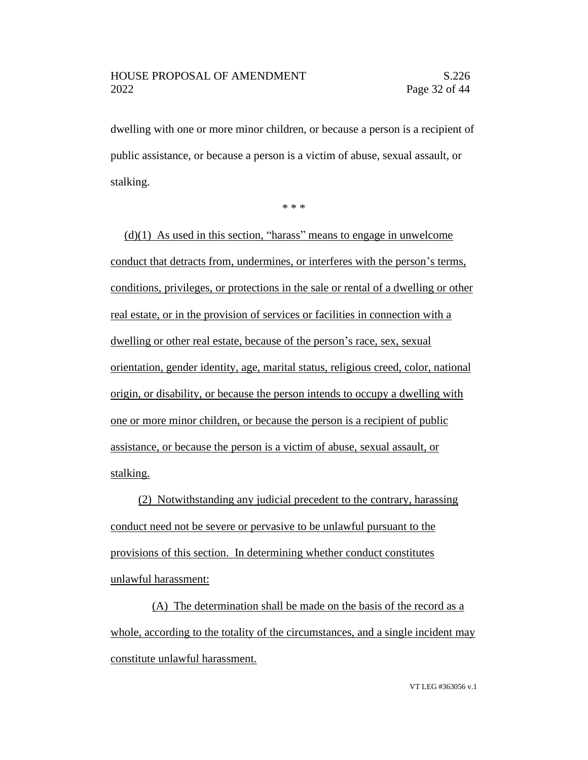dwelling with one or more minor children, or because a person is a recipient of public assistance, or because a person is a victim of abuse, sexual assault, or stalking.

\* \* \*

 $(d)(1)$  As used in this section, "harass" means to engage in unwelcome conduct that detracts from, undermines, or interferes with the person's terms, conditions, privileges, or protections in the sale or rental of a dwelling or other real estate, or in the provision of services or facilities in connection with a dwelling or other real estate, because of the person's race, sex, sexual orientation, gender identity, age, marital status, religious creed, color, national origin, or disability, or because the person intends to occupy a dwelling with one or more minor children, or because the person is a recipient of public assistance, or because the person is a victim of abuse, sexual assault, or stalking.

(2) Notwithstanding any judicial precedent to the contrary, harassing conduct need not be severe or pervasive to be unlawful pursuant to the provisions of this section. In determining whether conduct constitutes unlawful harassment:

(A) The determination shall be made on the basis of the record as a whole, according to the totality of the circumstances, and a single incident may constitute unlawful harassment.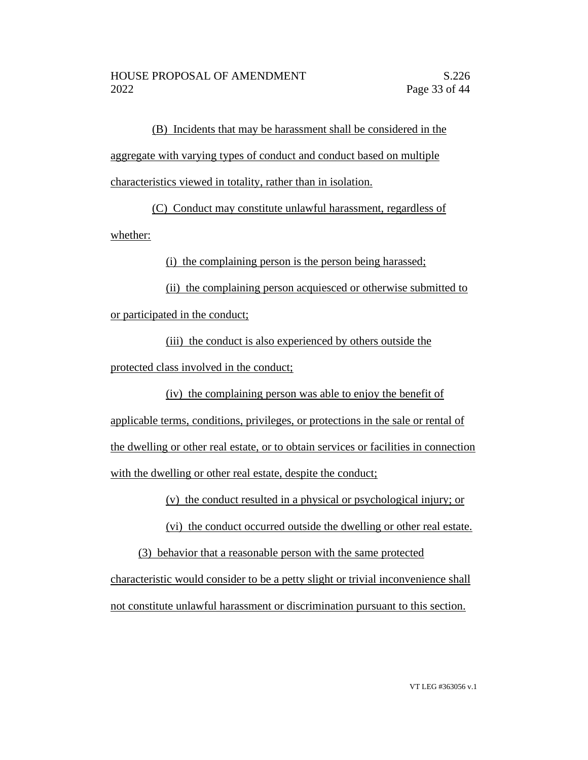(B) Incidents that may be harassment shall be considered in the aggregate with varying types of conduct and conduct based on multiple characteristics viewed in totality, rather than in isolation.

(C) Conduct may constitute unlawful harassment, regardless of whether:

(i) the complaining person is the person being harassed;

(ii) the complaining person acquiesced or otherwise submitted to or participated in the conduct;

(iii) the conduct is also experienced by others outside the protected class involved in the conduct;

(iv) the complaining person was able to enjoy the benefit of applicable terms, conditions, privileges, or protections in the sale or rental of the dwelling or other real estate, or to obtain services or facilities in connection with the dwelling or other real estate, despite the conduct;

(v) the conduct resulted in a physical or psychological injury; or

(vi) the conduct occurred outside the dwelling or other real estate.

(3) behavior that a reasonable person with the same protected

characteristic would consider to be a petty slight or trivial inconvenience shall not constitute unlawful harassment or discrimination pursuant to this section.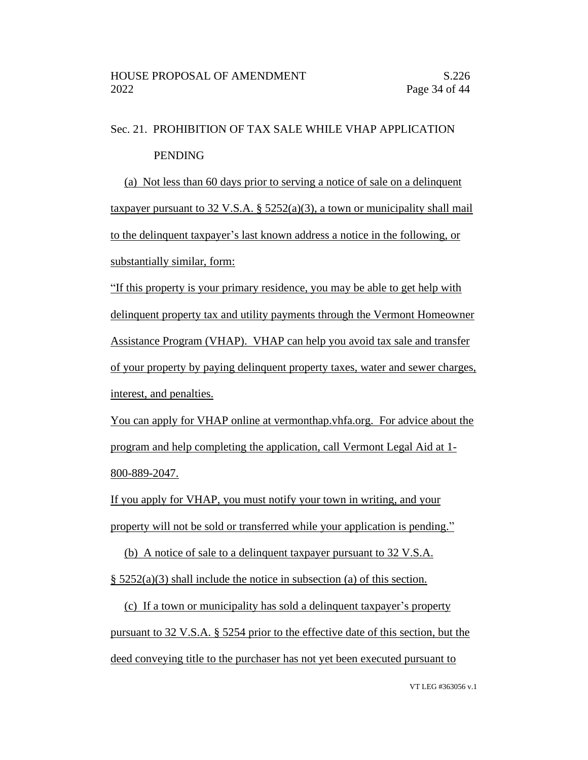# Sec. 21. PROHIBITION OF TAX SALE WHILE VHAP APPLICATION PENDING

(a) Not less than 60 days prior to serving a notice of sale on a delinquent taxpayer pursuant to 32 V.S.A.  $\S$  5252(a)(3), a town or municipality shall mail to the delinquent taxpayer's last known address a notice in the following, or substantially similar, form:

"If this property is your primary residence, you may be able to get help with delinquent property tax and utility payments through the Vermont Homeowner Assistance Program (VHAP). VHAP can help you avoid tax sale and transfer of your property by paying delinquent property taxes, water and sewer charges, interest, and penalties.

You can apply for VHAP online at vermonthap.vhfa.org. For advice about the program and help completing the application, call Vermont Legal Aid at 1- 800-889-2047.

If you apply for VHAP, you must notify your town in writing, and your property will not be sold or transferred while your application is pending."

(b) A notice of sale to a delinquent taxpayer pursuant to 32 V.S.A.

 $\S$  5252(a)(3) shall include the notice in subsection (a) of this section.

(c) If a town or municipality has sold a delinquent taxpayer's property pursuant to 32 V.S.A. § 5254 prior to the effective date of this section, but the deed conveying title to the purchaser has not yet been executed pursuant to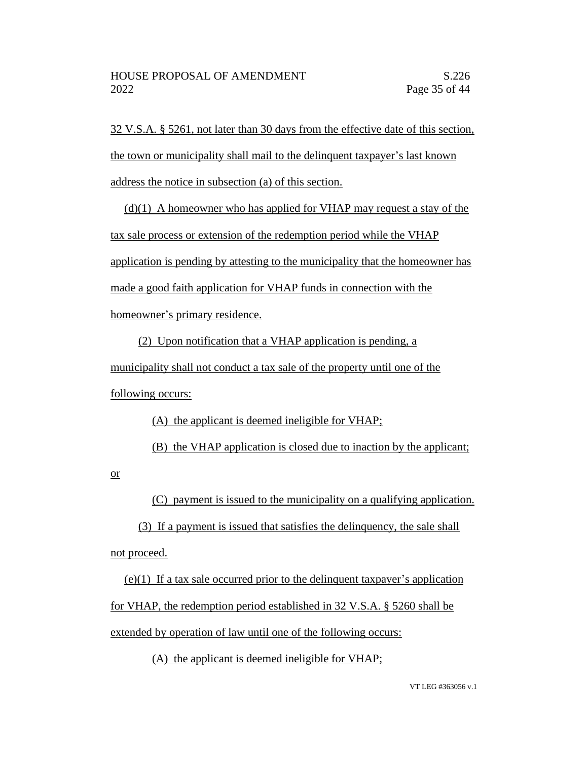32 V.S.A. § 5261, not later than 30 days from the effective date of this section, the town or municipality shall mail to the delinquent taxpayer's last known address the notice in subsection (a) of this section.

 $(d)(1)$  A homeowner who has applied for VHAP may request a stay of the tax sale process or extension of the redemption period while the VHAP application is pending by attesting to the municipality that the homeowner has made a good faith application for VHAP funds in connection with the homeowner's primary residence.

(2) Upon notification that a VHAP application is pending, a municipality shall not conduct a tax sale of the property until one of the following occurs:

(A) the applicant is deemed ineligible for VHAP;

(B) the VHAP application is closed due to inaction by the applicant;

or

(C) payment is issued to the municipality on a qualifying application.

(3) If a payment is issued that satisfies the delinquency, the sale shall not proceed.

(e)(1) If a tax sale occurred prior to the delinquent taxpayer's application for VHAP, the redemption period established in 32 V.S.A. § 5260 shall be extended by operation of law until one of the following occurs:

(A) the applicant is deemed ineligible for VHAP;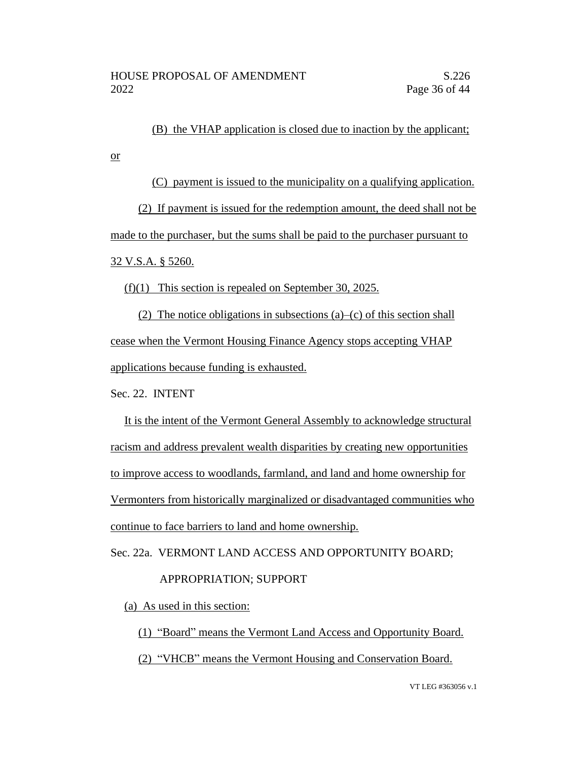(B) the VHAP application is closed due to inaction by the applicant;

(C) payment is issued to the municipality on a qualifying application.

(2) If payment is issued for the redemption amount, the deed shall not be made to the purchaser, but the sums shall be paid to the purchaser pursuant to 32 V.S.A. § 5260.

(f)(1) This section is repealed on September 30, 2025.

(2) The notice obligations in subsections (a)–(c) of this section shall cease when the Vermont Housing Finance Agency stops accepting VHAP applications because funding is exhausted.

Sec. 22. INTENT

or

It is the intent of the Vermont General Assembly to acknowledge structural racism and address prevalent wealth disparities by creating new opportunities to improve access to woodlands, farmland, and land and home ownership for Vermonters from historically marginalized or disadvantaged communities who continue to face barriers to land and home ownership.

Sec. 22a. VERMONT LAND ACCESS AND OPPORTUNITY BOARD;

## APPROPRIATION; SUPPORT

(a) As used in this section:

(1) "Board" means the Vermont Land Access and Opportunity Board.

(2) "VHCB" means the Vermont Housing and Conservation Board.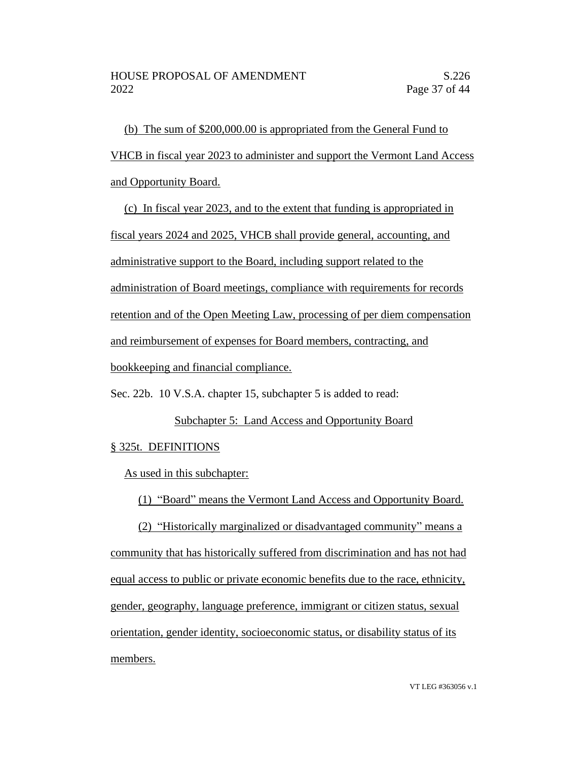(b) The sum of \$200,000.00 is appropriated from the General Fund to VHCB in fiscal year 2023 to administer and support the Vermont Land Access and Opportunity Board.

(c) In fiscal year 2023, and to the extent that funding is appropriated in fiscal years 2024 and 2025, VHCB shall provide general, accounting, and administrative support to the Board, including support related to the administration of Board meetings, compliance with requirements for records retention and of the Open Meeting Law, processing of per diem compensation and reimbursement of expenses for Board members, contracting, and bookkeeping and financial compliance.

Sec. 22b. 10 V.S.A. chapter 15, subchapter 5 is added to read:

## Subchapter 5: Land Access and Opportunity Board

## § 325t. DEFINITIONS

As used in this subchapter:

(1) "Board" means the Vermont Land Access and Opportunity Board.

(2) "Historically marginalized or disadvantaged community" means a community that has historically suffered from discrimination and has not had equal access to public or private economic benefits due to the race, ethnicity, gender, geography, language preference, immigrant or citizen status, sexual orientation, gender identity, socioeconomic status, or disability status of its members.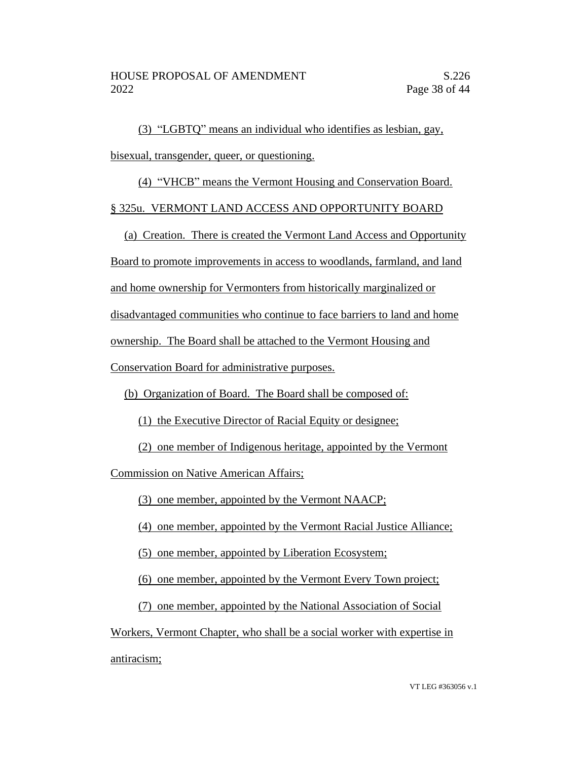(3) "LGBTQ" means an individual who identifies as lesbian, gay, bisexual, transgender, queer, or questioning.

(4) "VHCB" means the Vermont Housing and Conservation Board.

# § 325u. VERMONT LAND ACCESS AND OPPORTUNITY BOARD

(a) Creation. There is created the Vermont Land Access and Opportunity

Board to promote improvements in access to woodlands, farmland, and land

and home ownership for Vermonters from historically marginalized or

disadvantaged communities who continue to face barriers to land and home

ownership. The Board shall be attached to the Vermont Housing and

Conservation Board for administrative purposes.

(b) Organization of Board. The Board shall be composed of:

(1) the Executive Director of Racial Equity or designee;

(2) one member of Indigenous heritage, appointed by the Vermont

Commission on Native American Affairs;

(3) one member, appointed by the Vermont NAACP;

(4) one member, appointed by the Vermont Racial Justice Alliance;

(5) one member, appointed by Liberation Ecosystem;

(6) one member, appointed by the Vermont Every Town project;

(7) one member, appointed by the National Association of Social

Workers, Vermont Chapter, who shall be a social worker with expertise in antiracism;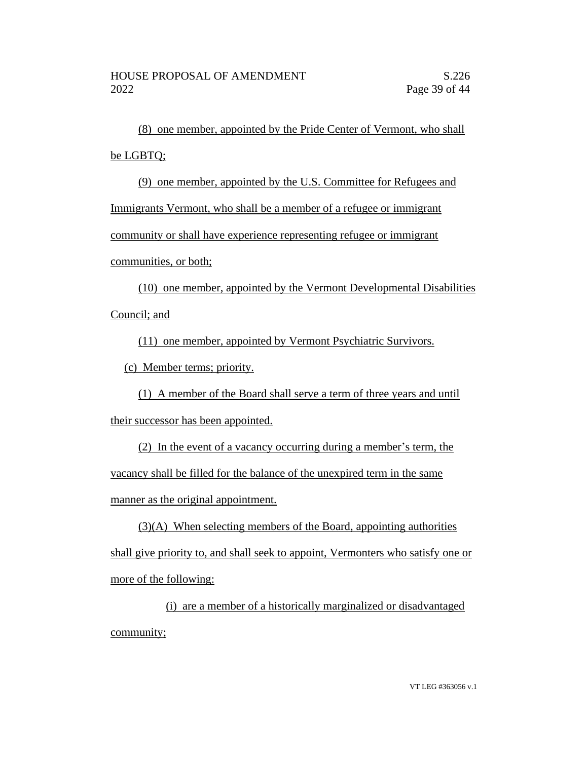(8) one member, appointed by the Pride Center of Vermont, who shall be LGBTQ;

(9) one member, appointed by the U.S. Committee for Refugees and

Immigrants Vermont, who shall be a member of a refugee or immigrant

community or shall have experience representing refugee or immigrant

communities, or both;

(10) one member, appointed by the Vermont Developmental Disabilities Council; and

(11) one member, appointed by Vermont Psychiatric Survivors.

(c) Member terms; priority.

(1) A member of the Board shall serve a term of three years and until their successor has been appointed.

(2) In the event of a vacancy occurring during a member's term, the vacancy shall be filled for the balance of the unexpired term in the same manner as the original appointment.

 $(3)(A)$  When selecting members of the Board, appointing authorities shall give priority to, and shall seek to appoint, Vermonters who satisfy one or more of the following:

(i) are a member of a historically marginalized or disadvantaged community;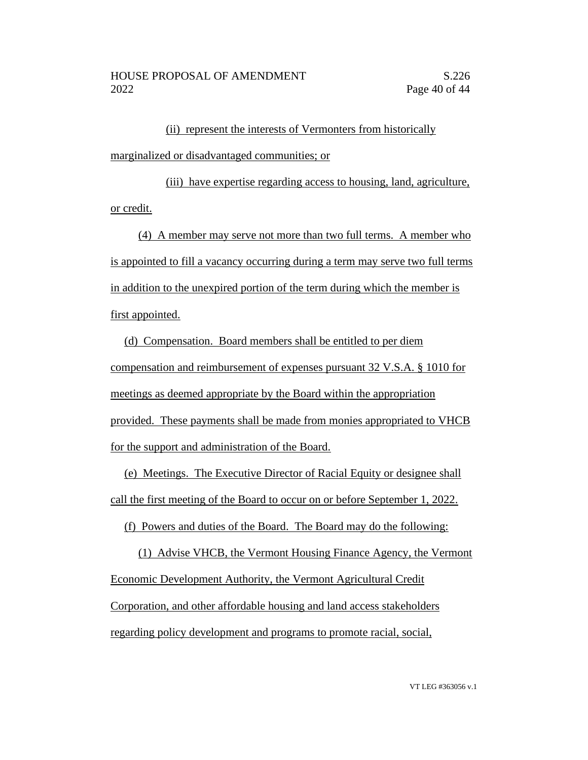(ii) represent the interests of Vermonters from historically marginalized or disadvantaged communities; or

(iii) have expertise regarding access to housing, land, agriculture, or credit.

(4) A member may serve not more than two full terms. A member who is appointed to fill a vacancy occurring during a term may serve two full terms in addition to the unexpired portion of the term during which the member is first appointed.

(d) Compensation. Board members shall be entitled to per diem compensation and reimbursement of expenses pursuant 32 V.S.A. § 1010 for meetings as deemed appropriate by the Board within the appropriation provided. These payments shall be made from monies appropriated to VHCB for the support and administration of the Board.

(e) Meetings. The Executive Director of Racial Equity or designee shall call the first meeting of the Board to occur on or before September 1, 2022.

(f) Powers and duties of the Board. The Board may do the following:

(1) Advise VHCB, the Vermont Housing Finance Agency, the Vermont Economic Development Authority, the Vermont Agricultural Credit Corporation, and other affordable housing and land access stakeholders regarding policy development and programs to promote racial, social,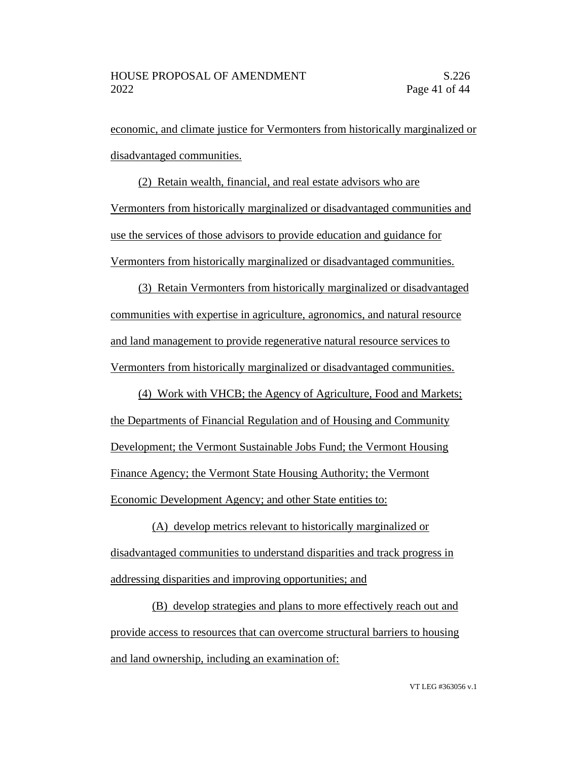economic, and climate justice for Vermonters from historically marginalized or disadvantaged communities.

(2) Retain wealth, financial, and real estate advisors who are Vermonters from historically marginalized or disadvantaged communities and use the services of those advisors to provide education and guidance for Vermonters from historically marginalized or disadvantaged communities.

(3) Retain Vermonters from historically marginalized or disadvantaged communities with expertise in agriculture, agronomics, and natural resource and land management to provide regenerative natural resource services to Vermonters from historically marginalized or disadvantaged communities.

(4) Work with VHCB; the Agency of Agriculture, Food and Markets; the Departments of Financial Regulation and of Housing and Community Development; the Vermont Sustainable Jobs Fund; the Vermont Housing Finance Agency; the Vermont State Housing Authority; the Vermont Economic Development Agency; and other State entities to:

(A) develop metrics relevant to historically marginalized or disadvantaged communities to understand disparities and track progress in addressing disparities and improving opportunities; and

(B) develop strategies and plans to more effectively reach out and provide access to resources that can overcome structural barriers to housing and land ownership, including an examination of: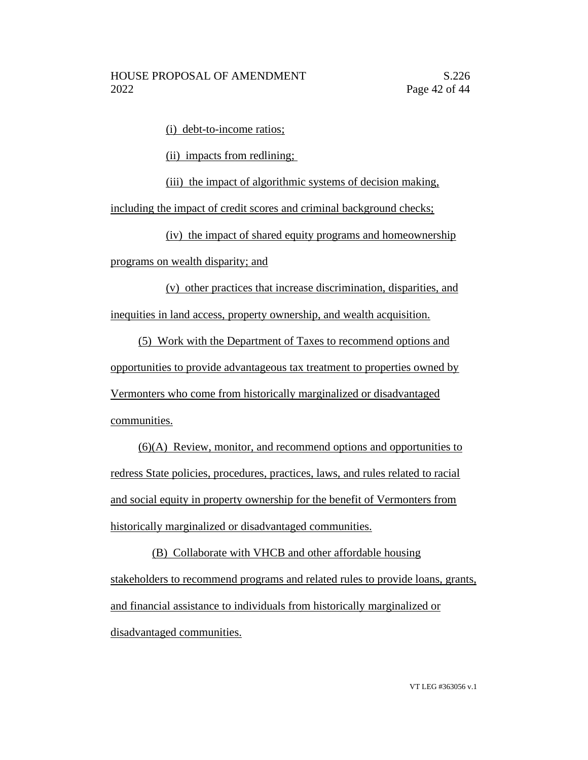(i) debt-to-income ratios;

(ii) impacts from redlining;

(iii) the impact of algorithmic systems of decision making,

including the impact of credit scores and criminal background checks;

(iv) the impact of shared equity programs and homeownership programs on wealth disparity; and

(v) other practices that increase discrimination, disparities, and inequities in land access, property ownership, and wealth acquisition.

(5) Work with the Department of Taxes to recommend options and opportunities to provide advantageous tax treatment to properties owned by Vermonters who come from historically marginalized or disadvantaged communities.

(6)(A) Review, monitor, and recommend options and opportunities to redress State policies, procedures, practices, laws, and rules related to racial and social equity in property ownership for the benefit of Vermonters from historically marginalized or disadvantaged communities.

(B) Collaborate with VHCB and other affordable housing stakeholders to recommend programs and related rules to provide loans, grants, and financial assistance to individuals from historically marginalized or disadvantaged communities.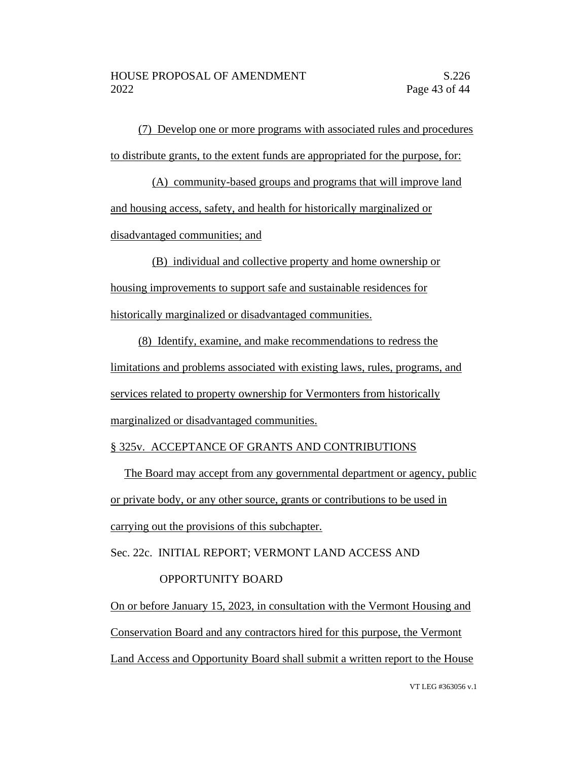(7) Develop one or more programs with associated rules and procedures to distribute grants, to the extent funds are appropriated for the purpose, for:

(A) community-based groups and programs that will improve land and housing access, safety, and health for historically marginalized or disadvantaged communities; and

(B) individual and collective property and home ownership or housing improvements to support safe and sustainable residences for historically marginalized or disadvantaged communities.

(8) Identify, examine, and make recommendations to redress the limitations and problems associated with existing laws, rules, programs, and services related to property ownership for Vermonters from historically marginalized or disadvantaged communities.

## § 325v. ACCEPTANCE OF GRANTS AND CONTRIBUTIONS

The Board may accept from any governmental department or agency, public or private body, or any other source, grants or contributions to be used in carrying out the provisions of this subchapter.

Sec. 22c. INITIAL REPORT; VERMONT LAND ACCESS AND

## OPPORTUNITY BOARD

On or before January 15, 2023, in consultation with the Vermont Housing and Conservation Board and any contractors hired for this purpose, the Vermont Land Access and Opportunity Board shall submit a written report to the House